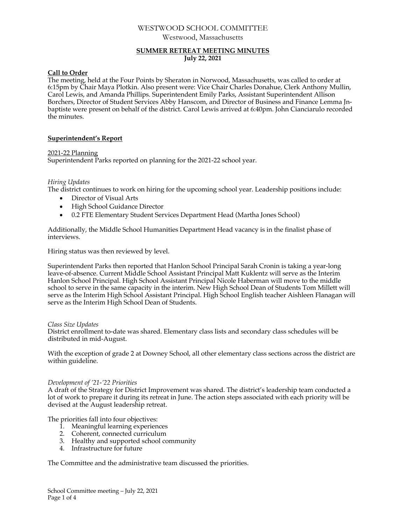# WESTWOOD SCHOOL COMMITTEE Westwood, Massachusetts

# **SUMMER RETREAT MEETING MINUTES July 22, 2021**

### **Call to Order**

The meeting, held at the Four Points by Sheraton in Norwood, Massachusetts, was called to order at 6:15pm by Chair Maya Plotkin. Also present were: Vice Chair Charles Donahue, Clerk Anthony Mullin, Carol Lewis, and Amanda Phillips. Superintendent Emily Parks, Assistant Superintendent Allison Borchers, Director of Student Services Abby Hanscom, and Director of Business and Finance Lemma Jnbaptiste were present on behalf of the district. Carol Lewis arrived at 6:40pm. John Cianciarulo recorded the minutes.

# **Superintendent's Report**

# 2021-22 Planning

Superintendent Parks reported on planning for the 2021-22 school year.

### *Hiring Updates*

The district continues to work on hiring for the upcoming school year. Leadership positions include:

- Director of Visual Arts
- High School Guidance Director
- 0.2 FTE Elementary Student Services Department Head (Martha Jones School)

Additionally, the Middle School Humanities Department Head vacancy is in the finalist phase of interviews.

Hiring status was then reviewed by level.

Superintendent Parks then reported that Hanlon School Principal Sarah Cronin is taking a year-long leave-of-absence. Current Middle School Assistant Principal Matt Kuklentz will serve as the Interim Hanlon School Principal. High School Assistant Principal Nicole Haberman will move to the middle school to serve in the same capacity in the interim. New High School Dean of Students Tom Millett will serve as the Interim High School Assistant Principal. High School English teacher Aishleen Flanagan will serve as the Interim High School Dean of Students.

### *Class Size Updates*

District enrollment to-date was shared. Elementary class lists and secondary class schedules will be distributed in mid-August.

With the exception of grade 2 at Downey School, all other elementary class sections across the district are within guideline.

### *Development of '21-'22 Priorities*

A draft of the Strategy for District Improvement was shared. The district's leadership team conducted a lot of work to prepare it during its retreat in June. The action steps associated with each priority will be devised at the August leadership retreat.

The priorities fall into four objectives:

- 1. Meaningful learning experiences
- 2. Coherent, connected curriculum
- 3. Healthy and supported school community
- 4. Infrastructure for future

The Committee and the administrative team discussed the priorities.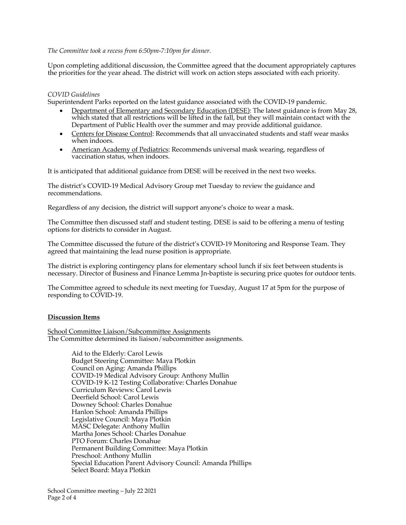### *The Committee took a recess from 6:50pm-7:10pm for dinner.*

Upon completing additional discussion, the Committee agreed that the document appropriately captures the priorities for the year ahead. The district will work on action steps associated with each priority.

#### *COVID Guidelines*

Superintendent Parks reported on the latest guidance associated with the COVID-19 pandemic.

- Department of Elementary and Secondary Education (DESE): The latest guidance is from May 28, which stated that all restrictions will be lifted in the fall, but they will maintain contact with the Department of Public Health over the summer and may provide additional guidance.
- Centers for Disease Control: Recommends that all unvaccinated students and staff wear masks when indoors.
- American Academy of Pediatrics: Recommends universal mask wearing, regardless of vaccination status, when indoors.

It is anticipated that additional guidance from DESE will be received in the next two weeks.

The district's COVID-19 Medical Advisory Group met Tuesday to review the guidance and recommendations.

Regardless of any decision, the district will support anyone's choice to wear a mask.

The Committee then discussed staff and student testing. DESE is said to be offering a menu of testing options for districts to consider in August.

The Committee discussed the future of the district's COVID-19 Monitoring and Response Team. They agreed that maintaining the lead nurse position is appropriate.

The district is exploring contingency plans for elementary school lunch if six feet between students is necessary. Director of Business and Finance Lemma Jn-baptiste is securing price quotes for outdoor tents.

The Committee agreed to schedule its next meeting for Tuesday, August 17 at 5pm for the purpose of responding to COVID-19.

#### **Discussion Items**

School Committee Liaison/Subcommittee Assignments The Committee determined its liaison/subcommittee assignments.

> Aid to the Elderly: Carol Lewis Budget Steering Committee: Maya Plotkin Council on Aging: Amanda Phillips COVID-19 Medical Advisory Group: Anthony Mullin COVID-19 K-12 Testing Collaborative: Charles Donahue Curriculum Reviews: Carol Lewis Deerfield School: Carol Lewis Downey School: Charles Donahue Hanlon School: Amanda Phillips Legislative Council: Maya Plotkin MASC Delegate: Anthony Mullin Martha Jones School: Charles Donahue PTO Forum: Charles Donahue Permanent Building Committee: Maya Plotkin Preschool: Anthony Mullin Special Education Parent Advisory Council: Amanda Phillips Select Board: Maya Plotkin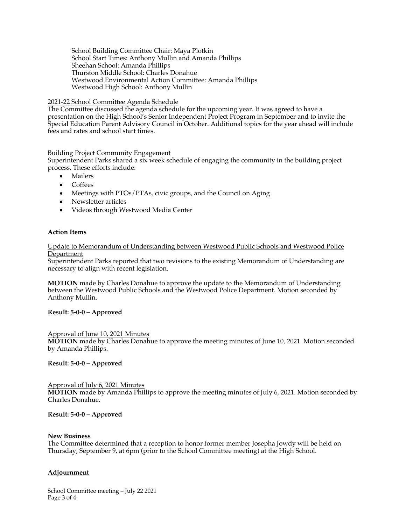School Building Committee Chair: Maya Plotkin School Start Times: Anthony Mullin and Amanda Phillips Sheehan School: Amanda Phillips Thurston Middle School: Charles Donahue Westwood Environmental Action Committee: Amanda Phillips Westwood High School: Anthony Mullin

### 2021-22 School Committee Agenda Schedule

The Committee discussed the agenda schedule for the upcoming year. It was agreed to have a presentation on the High School's Senior Independent Project Program in September and to invite the Special Education Parent Advisory Council in October. Additional topics for the year ahead will include fees and rates and school start times.

# Building Project Community Engagement

Superintendent Parks shared a six week schedule of engaging the community in the building project process. These efforts include:

- Mailers
- Coffees
- Meetings with PTOs/PTAs, civic groups, and the Council on Aging
- Newsletter articles
- Videos through Westwood Media Center

### **Action Items**

#### Update to Memorandum of Understanding between Westwood Public Schools and Westwood Police Department

Superintendent Parks reported that two revisions to the existing Memorandum of Understanding are necessary to align with recent legislation.

**MOTION** made by Charles Donahue to approve the update to the Memorandum of Understanding between the Westwood Public Schools and the Westwood Police Department. Motion seconded by Anthony Mullin.

### **Result: 5-0-0 – Approved**

#### Approval of June 10, 2021 Minutes

**MOTION** made by Charles Donahue to approve the meeting minutes of June 10, 2021. Motion seconded by Amanda Phillips.

### **Result: 5-0-0 – Approved**

# Approval of July 6, 2021 Minutes

**MOTION** made by Amanda Phillips to approve the meeting minutes of July 6, 2021. Motion seconded by Charles Donahue.

### **Result: 5-0-0 – Approved**

#### **New Business**

The Committee determined that a reception to honor former member Josepha Jowdy will be held on Thursday, September 9, at 6pm (prior to the School Committee meeting) at the High School.

### **Adjournment**

School Committee meeting – July 22 2021 Page 3 of 4